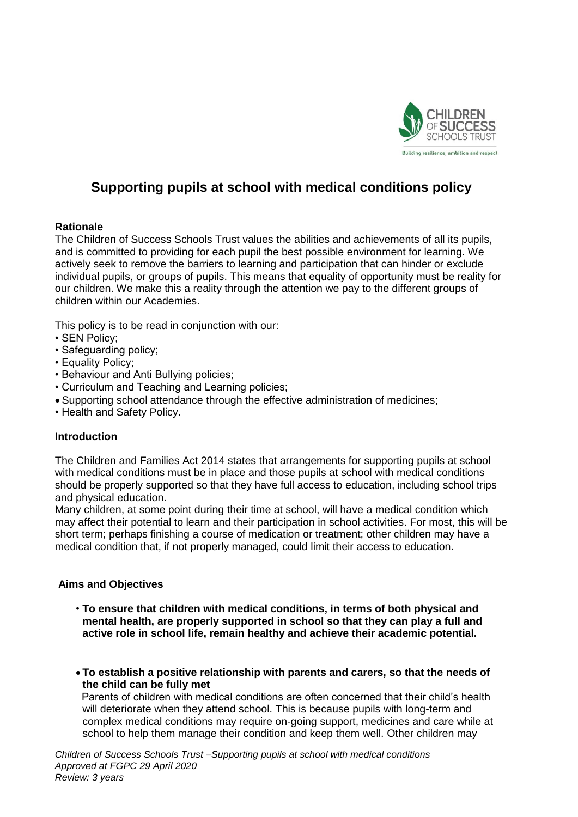

# **Supporting pupils at school with medical conditions policy**

### **Rationale**

The Children of Success Schools Trust values the abilities and achievements of all its pupils, and is committed to providing for each pupil the best possible environment for learning. We actively seek to remove the barriers to learning and participation that can hinder or exclude individual pupils, or groups of pupils. This means that equality of opportunity must be reality for our children. We make this a reality through the attention we pay to the different groups of children within our Academies.

This policy is to be read in conjunction with our:

- SEN Policy;
- Safeguarding policy;
- Equality Policy;
- Behaviour and Anti Bullying policies;
- Curriculum and Teaching and Learning policies;
- Supporting school attendance through the effective administration of medicines;
- Health and Safety Policy.

### **Introduction**

The Children and Families Act 2014 states that arrangements for supporting pupils at school with medical conditions must be in place and those pupils at school with medical conditions should be properly supported so that they have full access to education, including school trips and physical education.

Many children, at some point during their time at school, will have a medical condition which may affect their potential to learn and their participation in school activities. For most, this will be short term; perhaps finishing a course of medication or treatment; other children may have a medical condition that, if not properly managed, could limit their access to education.

### **Aims and Objectives**

- **To ensure that children with medical conditions, in terms of both physical and mental health, are properly supported in school so that they can play a full and active role in school life, remain healthy and achieve their academic potential.**
- **To establish a positive relationship with parents and carers, so that the needs of the child can be fully met**

Parents of children with medical conditions are often concerned that their child's health will deteriorate when they attend school. This is because pupils with long-term and complex medical conditions may require on-going support, medicines and care while at school to help them manage their condition and keep them well. Other children may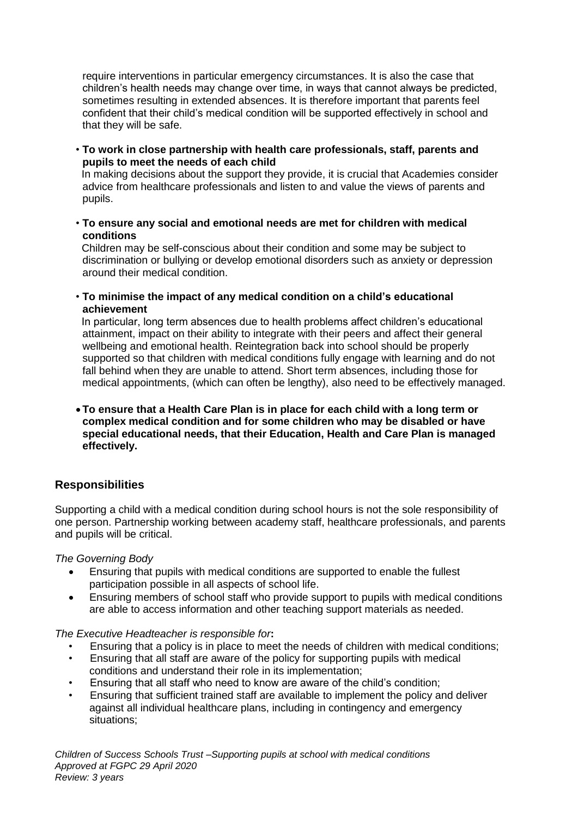require interventions in particular emergency circumstances. It is also the case that children's health needs may change over time, in ways that cannot always be predicted, sometimes resulting in extended absences. It is therefore important that parents feel confident that their child's medical condition will be supported effectively in school and that they will be safe.

• **To work in close partnership with health care professionals, staff, parents and pupils to meet the needs of each child**

 In making decisions about the support they provide, it is crucial that Academies consider advice from healthcare professionals and listen to and value the views of parents and pupils.

• **To ensure any social and emotional needs are met for children with medical conditions** 

Children may be self-conscious about their condition and some may be subject to discrimination or bullying or develop emotional disorders such as anxiety or depression around their medical condition.

• **To minimise the impact of any medical condition on a child's educational achievement**

In particular, long term absences due to health problems affect children's educational attainment, impact on their ability to integrate with their peers and affect their general wellbeing and emotional health. Reintegration back into school should be properly supported so that children with medical conditions fully engage with learning and do not fall behind when they are unable to attend. Short term absences, including those for medical appointments, (which can often be lengthy), also need to be effectively managed.

 **To ensure that a Health Care Plan is in place for each child with a long term or complex medical condition and for some children who may be disabled or have special educational needs, that their Education, Health and Care Plan is managed effectively.** 

# **Responsibilities**

Supporting a child with a medical condition during school hours is not the sole responsibility of one person. Partnership working between academy staff, healthcare professionals, and parents and pupils will be critical.

*The Governing Body*

- Ensuring that pupils with medical conditions are supported to enable the fullest participation possible in all aspects of school life.
- Ensuring members of school staff who provide support to pupils with medical conditions are able to access information and other teaching support materials as needed.

### *The Executive Headteacher is responsible for***:**

- Ensuring that a policy is in place to meet the needs of children with medical conditions;
- Ensuring that all staff are aware of the policy for supporting pupils with medical conditions and understand their role in its implementation;
- Ensuring that all staff who need to know are aware of the child's condition;
- Ensuring that sufficient trained staff are available to implement the policy and deliver against all individual healthcare plans, including in contingency and emergency situations;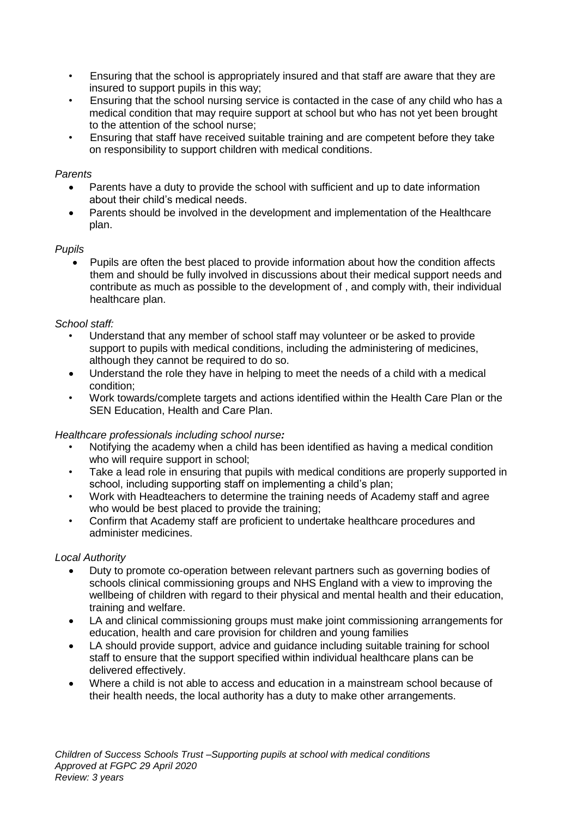- Ensuring that the school is appropriately insured and that staff are aware that they are insured to support pupils in this way;
- Ensuring that the school nursing service is contacted in the case of any child who has a medical condition that may require support at school but who has not yet been brought to the attention of the school nurse;
- Ensuring that staff have received suitable training and are competent before they take on responsibility to support children with medical conditions.

#### *Parents*

- Parents have a duty to provide the school with sufficient and up to date information about their child's medical needs.
- Parents should be involved in the development and implementation of the Healthcare plan.

### *Pupils*

 Pupils are often the best placed to provide information about how the condition affects them and should be fully involved in discussions about their medical support needs and contribute as much as possible to the development of , and comply with, their individual healthcare plan.

#### *School staff:*

- Understand that any member of school staff may volunteer or be asked to provide support to pupils with medical conditions, including the administering of medicines, although they cannot be required to do so.
- Understand the role they have in helping to meet the needs of a child with a medical condition;
- Work towards/complete targets and actions identified within the Health Care Plan or the SEN Education, Health and Care Plan.

### *Healthcare professionals including school nurse:*

- Notifying the academy when a child has been identified as having a medical condition who will require support in school;
- Take a lead role in ensuring that pupils with medical conditions are properly supported in school, including supporting staff on implementing a child's plan;
- Work with Headteachers to determine the training needs of Academy staff and agree who would be best placed to provide the training;
- Confirm that Academy staff are proficient to undertake healthcare procedures and administer medicines.

### *Local Authority*

- Duty to promote co-operation between relevant partners such as governing bodies of schools clinical commissioning groups and NHS England with a view to improving the wellbeing of children with regard to their physical and mental health and their education. training and welfare.
- LA and clinical commissioning groups must make joint commissioning arrangements for education, health and care provision for children and young families
- LA should provide support, advice and guidance including suitable training for school staff to ensure that the support specified within individual healthcare plans can be delivered effectively.
- Where a child is not able to access and education in a mainstream school because of their health needs, the local authority has a duty to make other arrangements.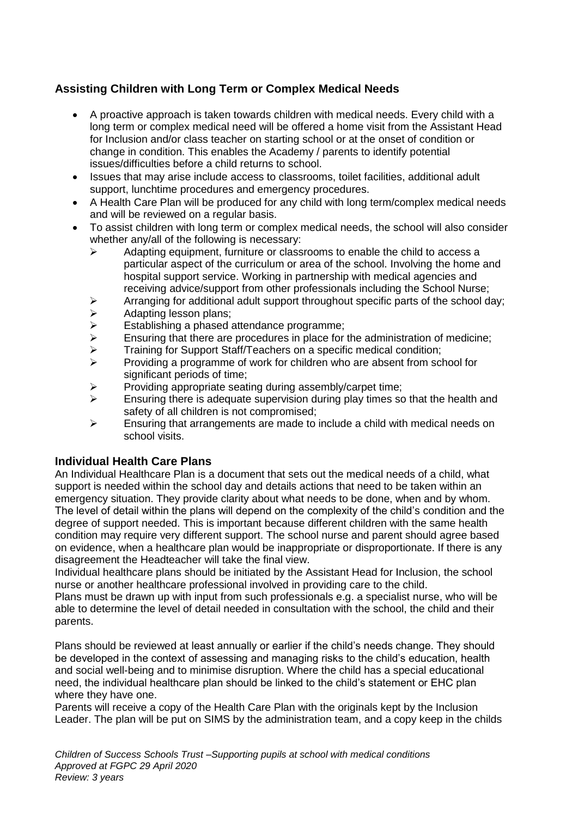# **Assisting Children with Long Term or Complex Medical Needs**

- A proactive approach is taken towards children with medical needs. Every child with a long term or complex medical need will be offered a home visit from the Assistant Head for Inclusion and/or class teacher on starting school or at the onset of condition or change in condition. This enables the Academy / parents to identify potential issues/difficulties before a child returns to school.
- Issues that may arise include access to classrooms, toilet facilities, additional adult support, lunchtime procedures and emergency procedures.
- A Health Care Plan will be produced for any child with long term/complex medical needs and will be reviewed on a regular basis.
- To assist children with long term or complex medical needs, the school will also consider whether any/all of the following is necessary:
	- $\triangleright$  Adapting equipment, furniture or classrooms to enable the child to access a particular aspect of the curriculum or area of the school. Involving the home and hospital support service. Working in partnership with medical agencies and receiving advice/support from other professionals including the School Nurse;
	- $\triangleright$  Arranging for additional adult support throughout specific parts of the school day;
	- $\triangleright$  Adapting lesson plans;
	-
	- $\geq$  Establishing a phased attendance programme;<br>  $\geq$  Ensuring that there are procedures in place for Ensuring that there are procedures in place for the administration of medicine;<br>
	Fraining for Support Staff/Teachers on a specific medical condition:
	- Training for Support Staff/Teachers on a specific medical condition;
	- $\geq$  Providing a programme of work for children who are absent from school for significant periods of time;
	- Providing appropriate seating during assembly/carpet time;
	- $\triangleright$  Ensuring there is adequate supervision during play times so that the health and safety of all children is not compromised;
	- $\triangleright$  Ensuring that arrangements are made to include a child with medical needs on school visits.

# **Individual Health Care Plans**

An Individual Healthcare Plan is a document that sets out the medical needs of a child, what support is needed within the school day and details actions that need to be taken within an emergency situation. They provide clarity about what needs to be done, when and by whom. The level of detail within the plans will depend on the complexity of the child's condition and the degree of support needed. This is important because different children with the same health condition may require very different support. The school nurse and parent should agree based on evidence, when a healthcare plan would be inappropriate or disproportionate. If there is any disagreement the Headteacher will take the final view.

Individual healthcare plans should be initiated by the Assistant Head for Inclusion, the school nurse or another healthcare professional involved in providing care to the child.

Plans must be drawn up with input from such professionals e.g. a specialist nurse, who will be able to determine the level of detail needed in consultation with the school, the child and their parents.

Plans should be reviewed at least annually or earlier if the child's needs change. They should be developed in the context of assessing and managing risks to the child's education, health and social well-being and to minimise disruption. Where the child has a special educational need, the individual healthcare plan should be linked to the child's statement or EHC plan where they have one.

Parents will receive a copy of the Health Care Plan with the originals kept by the Inclusion Leader. The plan will be put on SIMS by the administration team, and a copy keep in the childs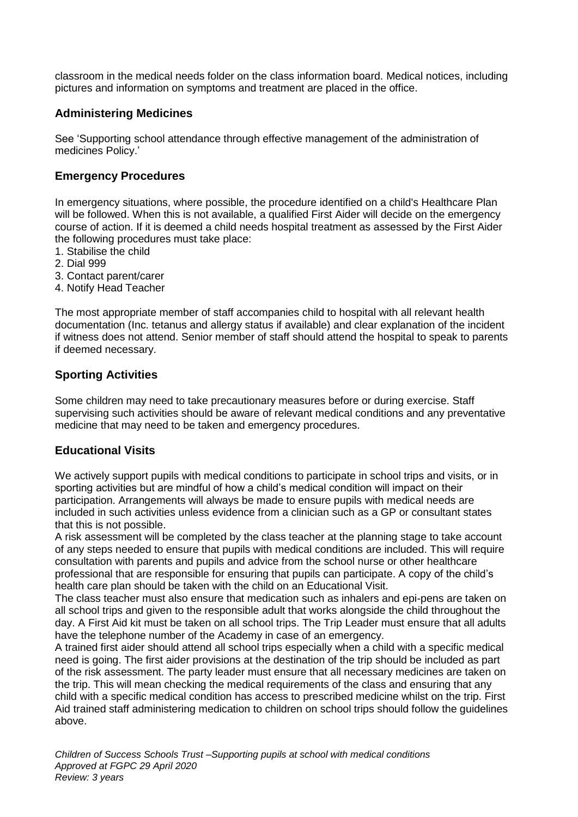classroom in the medical needs folder on the class information board. Medical notices, including pictures and information on symptoms and treatment are placed in the office.

# **Administering Medicines**

See 'Supporting school attendance through effective management of the administration of medicines Policy.'

### **Emergency Procedures**

In emergency situations, where possible, the procedure identified on a child's Healthcare Plan will be followed. When this is not available, a qualified First Aider will decide on the emergency course of action. If it is deemed a child needs hospital treatment as assessed by the First Aider the following procedures must take place:

- 1. Stabilise the child
- 2. Dial 999
- 3. Contact parent/carer
- 4. Notify Head Teacher

The most appropriate member of staff accompanies child to hospital with all relevant health documentation (Inc. tetanus and allergy status if available) and clear explanation of the incident if witness does not attend. Senior member of staff should attend the hospital to speak to parents if deemed necessary.

# **Sporting Activities**

Some children may need to take precautionary measures before or during exercise. Staff supervising such activities should be aware of relevant medical conditions and any preventative medicine that may need to be taken and emergency procedures.

# **Educational Visits**

We actively support pupils with medical conditions to participate in school trips and visits, or in sporting activities but are mindful of how a child's medical condition will impact on their participation. Arrangements will always be made to ensure pupils with medical needs are included in such activities unless evidence from a clinician such as a GP or consultant states that this is not possible.

A risk assessment will be completed by the class teacher at the planning stage to take account of any steps needed to ensure that pupils with medical conditions are included. This will require consultation with parents and pupils and advice from the school nurse or other healthcare professional that are responsible for ensuring that pupils can participate. A copy of the child's health care plan should be taken with the child on an Educational Visit.

The class teacher must also ensure that medication such as inhalers and epi-pens are taken on all school trips and given to the responsible adult that works alongside the child throughout the day. A First Aid kit must be taken on all school trips. The Trip Leader must ensure that all adults have the telephone number of the Academy in case of an emergency.

A trained first aider should attend all school trips especially when a child with a specific medical need is going. The first aider provisions at the destination of the trip should be included as part of the risk assessment. The party leader must ensure that all necessary medicines are taken on the trip. This will mean checking the medical requirements of the class and ensuring that any child with a specific medical condition has access to prescribed medicine whilst on the trip. First Aid trained staff administering medication to children on school trips should follow the guidelines above.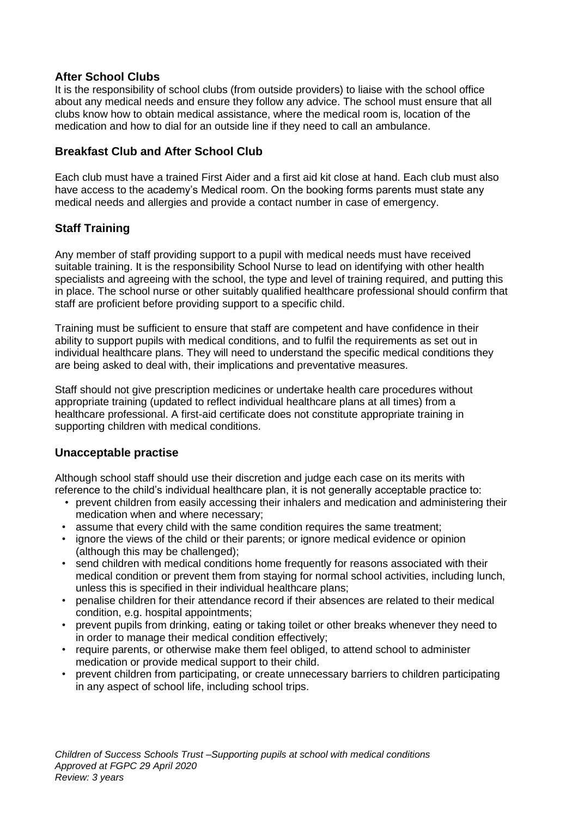# **After School Clubs**

It is the responsibility of school clubs (from outside providers) to liaise with the school office about any medical needs and ensure they follow any advice. The school must ensure that all clubs know how to obtain medical assistance, where the medical room is, location of the medication and how to dial for an outside line if they need to call an ambulance.

# **Breakfast Club and After School Club**

Each club must have a trained First Aider and a first aid kit close at hand. Each club must also have access to the academy's Medical room. On the booking forms parents must state any medical needs and allergies and provide a contact number in case of emergency.

# **Staff Training**

Any member of staff providing support to a pupil with medical needs must have received suitable training. It is the responsibility School Nurse to lead on identifying with other health specialists and agreeing with the school, the type and level of training required, and putting this in place. The school nurse or other suitably qualified healthcare professional should confirm that staff are proficient before providing support to a specific child.

Training must be sufficient to ensure that staff are competent and have confidence in their ability to support pupils with medical conditions, and to fulfil the requirements as set out in individual healthcare plans. They will need to understand the specific medical conditions they are being asked to deal with, their implications and preventative measures.

Staff should not give prescription medicines or undertake health care procedures without appropriate training (updated to reflect individual healthcare plans at all times) from a healthcare professional. A first-aid certificate does not constitute appropriate training in supporting children with medical conditions.

# **Unacceptable practise**

Although school staff should use their discretion and judge each case on its merits with reference to the child's individual healthcare plan, it is not generally acceptable practice to:

- prevent children from easily accessing their inhalers and medication and administering their medication when and where necessary;
- assume that every child with the same condition requires the same treatment;
- ignore the views of the child or their parents; or ignore medical evidence or opinion (although this may be challenged);
- send children with medical conditions home frequently for reasons associated with their medical condition or prevent them from staying for normal school activities, including lunch, unless this is specified in their individual healthcare plans;
- penalise children for their attendance record if their absences are related to their medical condition, e.g. hospital appointments;
- prevent pupils from drinking, eating or taking toilet or other breaks whenever they need to in order to manage their medical condition effectively;
- require parents, or otherwise make them feel obliged, to attend school to administer medication or provide medical support to their child.
- prevent children from participating, or create unnecessary barriers to children participating in any aspect of school life, including school trips.